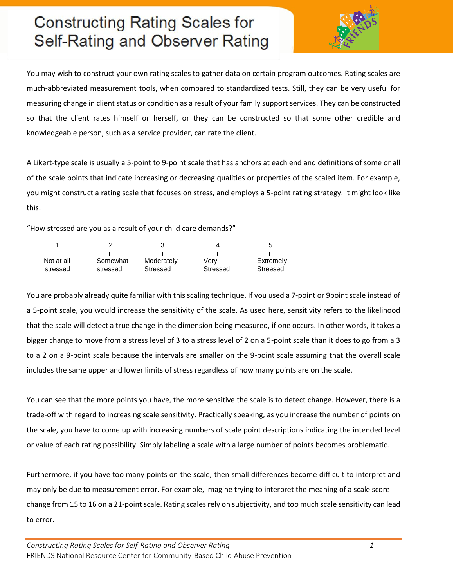# **Constructing Rating Scales for** Self-Rating and Observer Rating



You may wish to construct your own rating scales to gather data on certain program outcomes. Rating scales are much-abbreviated measurement tools, when compared to standardized tests. Still, they can be very useful for measuring change in client status or condition as a result of your family support services. They can be constructed so that the client rates himself or herself, or they can be constructed so that some other credible and knowledgeable person, such as a service provider, can rate the client.

A Likert-type scale is usually a 5-point to 9-point scale that has anchors at each end and definitions of some or all of the scale points that indicate increasing or decreasing qualities or properties of the scaled item. For example, you might construct a rating scale that focuses on stress, and employs a 5-point rating strategy. It might look like this:

"How stressed are you as a result of your child care demands?"

| Not at all<br>stressed | Somewhat<br>stressed | Moderately<br>Stressed | Verv<br>Stressed | Extremely<br>Streesed |
|------------------------|----------------------|------------------------|------------------|-----------------------|

You are probably already quite familiar with this scaling technique. If you used a 7-point or 9point scale instead of a 5-point scale, you would increase the sensitivity of the scale. As used here, sensitivity refers to the likelihood that the scale will detect a true change in the dimension being measured, if one occurs. In other words, it takes a bigger change to move from a stress level of 3 to a stress level of 2 on a 5-point scale than it does to go from a 3 to a 2 on a 9-point scale because the intervals are smaller on the 9-point scale assuming that the overall scale includes the same upper and lower limits of stress regardless of how many points are on the scale.

You can see that the more points you have, the more sensitive the scale is to detect change. However, there is a trade-off with regard to increasing scale sensitivity. Practically speaking, as you increase the number of points on the scale, you have to come up with increasing numbers of scale point descriptions indicating the intended level or value of each rating possibility. Simply labeling a scale with a large number of points becomes problematic.

Furthermore, if you have too many points on the scale, then small differences become difficult to interpret and may only be due to measurement error. For example, imagine trying to interpret the meaning of a scale score change from 15 to 16 on a 21-point scale. Rating scales rely on subjectivity, and too much scale sensitivity can lead to error.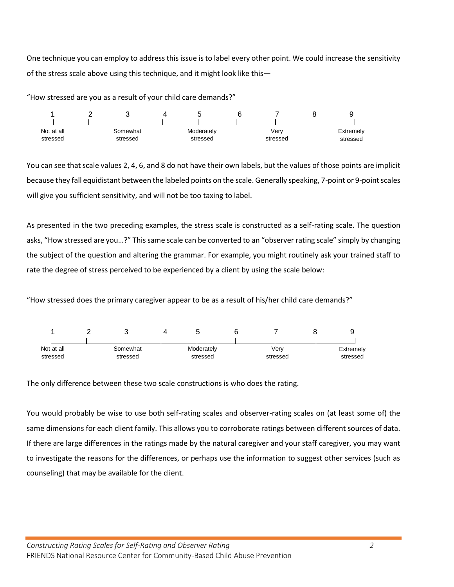One technique you can employ to address this issue is to label every other point. We could increase the sensitivity of the stress scale above using this technique, and it might look like this—

"How stressed are you as a result of your child care demands?"



You can see that scale values 2, 4, 6, and 8 do not have their own labels, but the values of those points are implicit because they fall equidistant between the labeled points on the scale. Generally speaking, 7-point or 9-point scales will give you sufficient sensitivity, and will not be too taxing to label.

As presented in the two preceding examples, the stress scale is constructed as a self-rating scale. The question asks, "How stressed are you…?" This same scale can be converted to an "observer rating scale" simply by changing the subject of the question and altering the grammar. For example, you might routinely ask your trained staff to rate the degree of stress perceived to be experienced by a client by using the scale below:

"How stressed does the primary caregiver appear to be as a result of his/her child care demands?"



The only difference between these two scale constructions is who does the rating.

You would probably be wise to use both self-rating scales and observer-rating scales on (at least some of) the same dimensions for each client family. This allows you to corroborate ratings between different sources of data. If there are large differences in the ratings made by the natural caregiver and your staff caregiver, you may want to investigate the reasons for the differences, or perhaps use the information to suggest other services (such as counseling) that may be available for the client.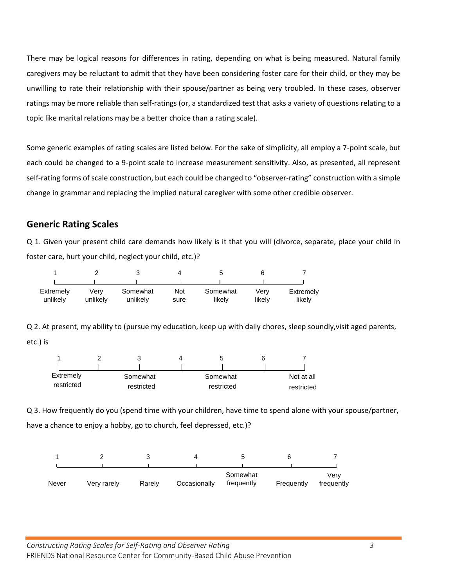There may be logical reasons for differences in rating, depending on what is being measured. Natural family caregivers may be reluctant to admit that they have been considering foster care for their child, or they may be unwilling to rate their relationship with their spouse/partner as being very troubled. In these cases, observer ratings may be more reliable than self-ratings (or, a standardized test that asks a variety of questions relating to a topic like marital relations may be a better choice than a rating scale).

Some generic examples of rating scales are listed below. For the sake of simplicity, all employ a 7-point scale, but each could be changed to a 9-point scale to increase measurement sensitivity. Also, as presented, all represent self-rating forms of scale construction, but each could be changed to "observer-rating" construction with a simple change in grammar and replacing the implied natural caregiver with some other credible observer.

#### **Generic Rating Scales**

Q 1. Given your present child care demands how likely is it that you will (divorce, separate, place your child in foster care, hurt your child, neglect your child, etc.)?

| Extremely<br>unlikelv | Verv<br>unlikely | Somewhat<br>unlikelv | Not<br>sure | Somewhat<br>likelv | Verv<br>likelv | Extremely<br>likelv |
|-----------------------|------------------|----------------------|-------------|--------------------|----------------|---------------------|

Q 2. At present, my ability to (pursue my education, keep up with daily chores, sleep soundly,visit aged parents, etc.) is

| Extremely  | Somewhat   | Somewhat   | Not at all |
|------------|------------|------------|------------|
| restricted | restricted | restricted | restricted |

Q 3. How frequently do you (spend time with your children, have time to spend alone with your spouse/partner, have a chance to enjoy a hobby, go to church, feel depressed, etc.)?

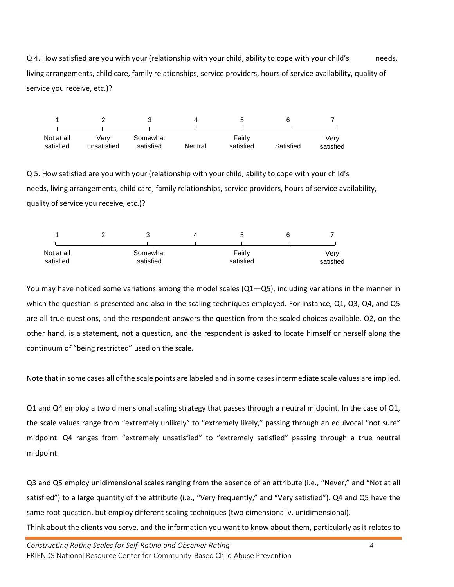Q 4. How satisfied are you with your (relationship with your child, ability to cope with your child's needs, living arrangements, child care, family relationships, service providers, hours of service availability, quality of service you receive, etc.)?



Q 5. How satisfied are you with your (relationship with your child, ability to cope with your child's needs, living arrangements, child care, family relationships, service providers, hours of service availability, quality of service you receive, etc.)?



You may have noticed some variations among the model scales  $(Q1-Q5)$ , including variations in the manner in which the question is presented and also in the scaling techniques employed. For instance, Q1, Q3, Q4, and Q5 are all true questions, and the respondent answers the question from the scaled choices available. Q2, on the other hand, is a statement, not a question, and the respondent is asked to locate himself or herself along the continuum of "being restricted" used on the scale.

Note that in some cases all of the scale points are labeled and in some cases intermediate scale values are implied.

Q1 and Q4 employ a two dimensional scaling strategy that passes through a neutral midpoint. In the case of Q1, the scale values range from "extremely unlikely" to "extremely likely," passing through an equivocal "not sure" midpoint. Q4 ranges from "extremely unsatisfied" to "extremely satisfied" passing through a true neutral midpoint.

Q3 and Q5 employ unidimensional scales ranging from the absence of an attribute (i.e., "Never," and "Not at all satisfied") to a large quantity of the attribute (i.e., "Very frequently," and "Very satisfied"). Q4 and Q5 have the same root question, but employ different scaling techniques (two dimensional v. unidimensional). Think about the clients you serve, and the information you want to know about them, particularly as it relates to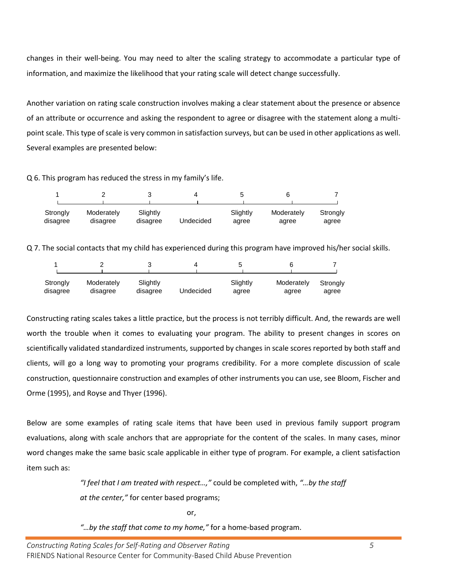changes in their well-being. You may need to alter the scaling strategy to accommodate a particular type of information, and maximize the likelihood that your rating scale will detect change successfully.

Another variation on rating scale construction involves making a clear statement about the presence or absence of an attribute or occurrence and asking the respondent to agree or disagree with the statement along a multipoint scale. This type of scale is very common in satisfaction surveys, but can be used in other applications as well. Several examples are presented below:

Q 6. This program has reduced the stress in my family's life.

| Strongly<br>disagree | Moderately<br>disagree | Slightly<br>disagree | Undecided | Slightly<br>agree | Moderately<br>agree | Strongly<br>agree |
|----------------------|------------------------|----------------------|-----------|-------------------|---------------------|-------------------|

Q 7. The social contacts that my child has experienced during this program have improved his/her social skills.

| Strongly | Moderately | Slightly | Undecided | Slightly | Moderately | Strongly |
|----------|------------|----------|-----------|----------|------------|----------|
| disagree | disagree   | disagree |           | agree    | agree      | agree    |

Constructing rating scales takes a little practice, but the process is not terribly difficult. And, the rewards are well worth the trouble when it comes to evaluating your program. The ability to present changes in scores on scientifically validated standardized instruments, supported by changes in scale scores reported by both staff and clients, will go a long way to promoting your programs credibility. For a more complete discussion of scale construction, questionnaire construction and examples of other instruments you can use, see Bloom, Fischer and Orme (1995), and Royse and Thyer (1996).

Below are some examples of rating scale items that have been used in previous family support program evaluations, along with scale anchors that are appropriate for the content of the scales. In many cases, minor word changes make the same basic scale applicable in either type of program. For example, a client satisfaction item such as:

> *"I feel that I am treated with respect…,"* could be completed with, *"…by the staff at the center,"* for center based programs;

> > or,

*"…by the staff that come to my home,"* for a home-based program.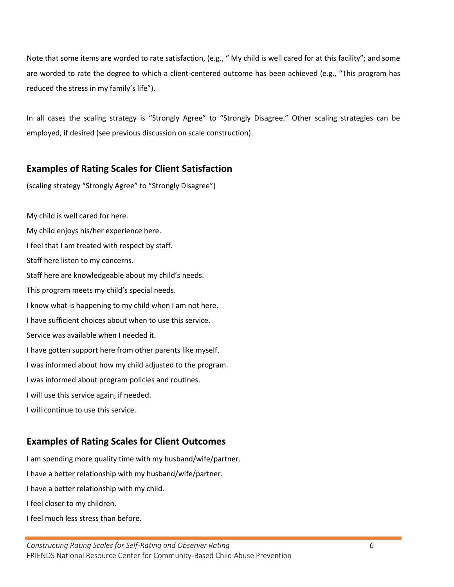Note that some items are worded to rate satisfaction, (e.g., " My child is well cared for at this facility"; and some are worded to rate the degree to which a client-centered outcome has been achieved (e.g., "This program has reduced the stress in my family's life").

In all cases the scaling strategy is "Strongly Agree" to "Strongly Disagree." Other scaling strategies can be employed, if desired (see previous discussion on scale construction).

### **Examples of Rating Scales for Client Satisfaction**

(scaling strategy "Strongly Agree" to "Strongly Disagree")

My child is well cared for here. My child enjoys his/her experience here. I feel that I am treated with respect by staff. Staff here listen to my concerns. Staff here are knowledgeable about my child's needs. This program meets my child's special needs. I know what is happening to my child when I am not here. I have sufficient choices about when to use this service. Service was available when I needed it. I have gotten support here from other parents like myself. I was informed about how my child adjusted to the program. I was informed about program policies and routines. I will use this service again, if needed. I will continue to use this service.

## **Examples of Rating Scales for Client Outcomes**

I am spending more quality time with my husband/wife/partner. I have a better relationship with my husband/wife/partner. I have a better relationship with my child. I feel closer to my children. I feel much less stress than before.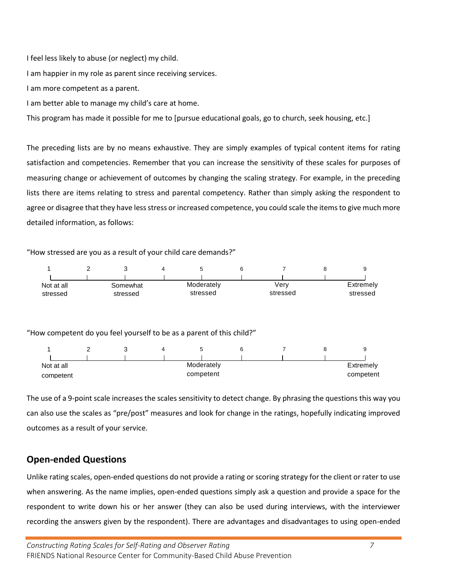I feel less likely to abuse (or neglect) my child.

I am happier in my role as parent since receiving services.

I am more competent as a parent.

I am better able to manage my child's care at home.

This program has made it possible for me to [pursue educational goals, go to church, seek housing, etc.]

The preceding lists are by no means exhaustive. They are simply examples of typical content items for rating satisfaction and competencies. Remember that you can increase the sensitivity of these scales for purposes of measuring change or achievement of outcomes by changing the scaling strategy. For example, in the preceding lists there are items relating to stress and parental competency. Rather than simply asking the respondent to agree or disagree that they have less stress or increased competence, you could scale the items to give much more detailed information, as follows:

#### "How stressed are you as a result of your child care demands?"



The use of a 9-point scale increases the scales sensitivity to detect change. By phrasing the questions this way you can also use the scales as "pre/post" measures and look for change in the ratings, hopefully indicating improved outcomes as a result of your service.

### **Open-ended Questions**

Unlike rating scales, open-ended questions do not provide a rating or scoring strategy for the client or rater to use when answering. As the name implies, open-ended questions simply ask a question and provide a space for the respondent to write down his or her answer (they can also be used during interviews, with the interviewer recording the answers given by the respondent). There are advantages and disadvantages to using open-ended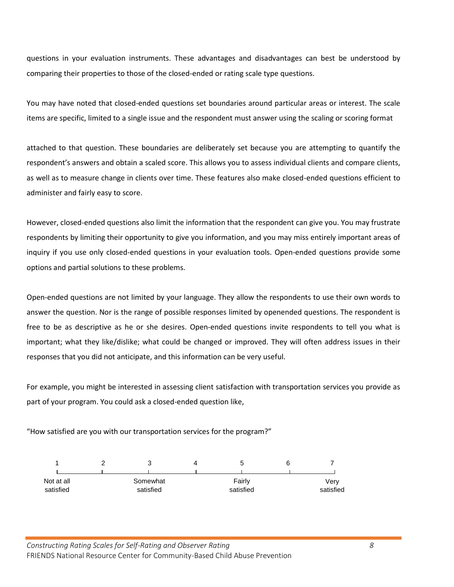questions in your evaluation instruments. These advantages and disadvantages can best be understood by comparing their properties to those of the closed-ended or rating scale type questions.

You may have noted that closed-ended questions set boundaries around particular areas or interest. The scale items are specific, limited to a single issue and the respondent must answer using the scaling or scoring format

attached to that question. These boundaries are deliberately set because you are attempting to quantify the respondent's answers and obtain a scaled score. This allows you to assess individual clients and compare clients, as well as to measure change in clients over time. These features also make closed-ended questions efficient to administer and fairly easy to score.

However, closed-ended questions also limit the information that the respondent can give you. You may frustrate respondents by limiting their opportunity to give you information, and you may miss entirely important areas of inquiry if you use only closed-ended questions in your evaluation tools. Open-ended questions provide some options and partial solutions to these problems.

Open-ended questions are not limited by your language. They allow the respondents to use their own words to answer the question. Nor is the range of possible responses limited by openended questions. The respondent is free to be as descriptive as he or she desires. Open-ended questions invite respondents to tell you what is important; what they like/dislike; what could be changed or improved. They will often address issues in their responses that you did not anticipate, and this information can be very useful.

For example, you might be interested in assessing client satisfaction with transportation services you provide as part of your program. You could ask a closed-ended question like,

"How satisfied are you with our transportation services for the program?"



*Constructing Rating Scales for Self-Rating and Observer Rating 8* FRIENDS National Resource Center for Community-Based Child Abuse Prevention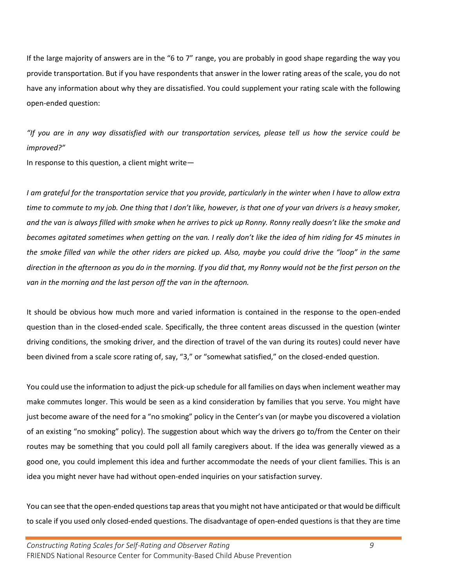If the large majority of answers are in the "6 to 7" range, you are probably in good shape regarding the way you provide transportation. But if you have respondents that answer in the lower rating areas of the scale, you do not have any information about why they are dissatisfied. You could supplement your rating scale with the following open-ended question:

*"If you are in any way dissatisfied with our transportation services, please tell us how the service could be improved?"* 

In response to this question, a client might write—

*I am grateful for the transportation service that you provide, particularly in the winter when I have to allow extra time to commute to my job. One thing that I don't like, however, is that one of your van drivers is a heavy smoker, and the van is always filled with smoke when he arrives to pick up Ronny. Ronny really doesn't like the smoke and becomes agitated sometimes when getting on the van. I really don't like the idea of him riding for 45 minutes in the smoke filled van while the other riders are picked up. Also, maybe you could drive the "loop" in the same direction in the afternoon as you do in the morning. If you did that, my Ronny would not be the first person on the van in the morning and the last person off the van in the afternoon.* 

It should be obvious how much more and varied information is contained in the response to the open-ended question than in the closed-ended scale. Specifically, the three content areas discussed in the question (winter driving conditions, the smoking driver, and the direction of travel of the van during its routes) could never have been divined from a scale score rating of, say, "3," or "somewhat satisfied," on the closed-ended question.

You could use the information to adjust the pick-up schedule for all families on days when inclement weather may make commutes longer. This would be seen as a kind consideration by families that you serve. You might have just become aware of the need for a "no smoking" policy in the Center's van (or maybe you discovered a violation of an existing "no smoking" policy). The suggestion about which way the drivers go to/from the Center on their routes may be something that you could poll all family caregivers about. If the idea was generally viewed as a good one, you could implement this idea and further accommodate the needs of your client families. This is an idea you might never have had without open-ended inquiries on your satisfaction survey.

You can see that the open-ended questions tap areas that you might not have anticipated or that would be difficult to scale if you used only closed-ended questions. The disadvantage of open-ended questions is that they are time